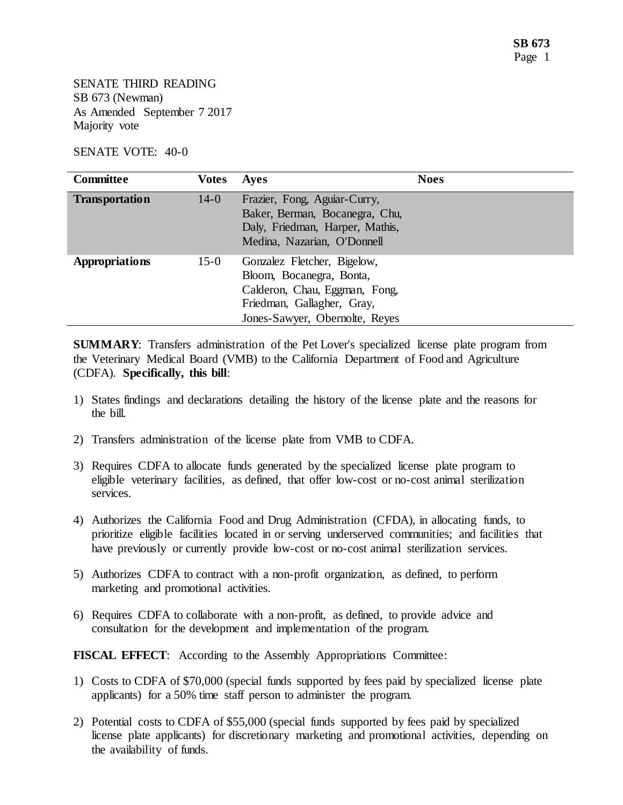SENATE THIRD READING SB 673 (Newman) As Amended September 7 2017 Majority vote

## SENATE VOTE: 40-0

| <b>Committee</b>      | <b>Votes</b> | <b>Ayes</b>                                                                                                                                              | <b>Noes</b> |
|-----------------------|--------------|----------------------------------------------------------------------------------------------------------------------------------------------------------|-------------|
| <b>Transportation</b> | $14-0$       | Frazier, Fong, Aguiar-Curry,<br>Baker, Berman, Bocanegra, Chu,<br>Daly, Friedman, Harper, Mathis,<br>Medina, Nazarian, O'Donnell                         |             |
| <b>Appropriations</b> | $15-0$       | Gonzalez Fletcher, Bigelow,<br>Bloom, Bocanegra, Bonta,<br>Calderon, Chau, Eggman, Fong,<br>Friedman, Gallagher, Gray,<br>Jones-Sawyer, Obernolte, Reyes |             |

**SUMMARY**: Transfers administration of the Pet Lover's specialized license plate program from the Veterinary Medical Board (VMB) to the California Department of Food and Agriculture (CDFA). **Specifically, this bill**:

- 1) States findings and declarations detailing the history of the license plate and the reasons for the bill.
- 2) Transfers administration of the license plate from VMB to CDFA.
- 3) Requires CDFA to allocate funds generated by the specialized license plate program to eligible veterinary facilities, as defined, that offer low-cost or no-cost animal sterilization services.
- 4) Authorizes the California Food and Drug Administration (CFDA), in allocating funds, to prioritize eligible facilities located in or serving underserved communities; and facilities that have previously or currently provide low-cost or no-cost animal sterilization services.
- 5) Authorizes CDFA to contract with a non-profit organization, as defined, to perform marketing and promotional activities.
- 6) Requires CDFA to collaborate with a non-profit, as defined, to provide advice and consultation for the development and implementation of the program.

**FISCAL EFFECT**: According to the Assembly Appropriations Committee:

- 1) Costs to CDFA of \$70,000 (special funds supported by fees paid by specialized license plate applicants) for a 50% time staff person to administer the program.
- 2) Potential costs to CDFA of \$55,000 (special funds supported by fees paid by specialized license plate applicants) for discretionary marketing and promotional activities, depending on the availability of funds.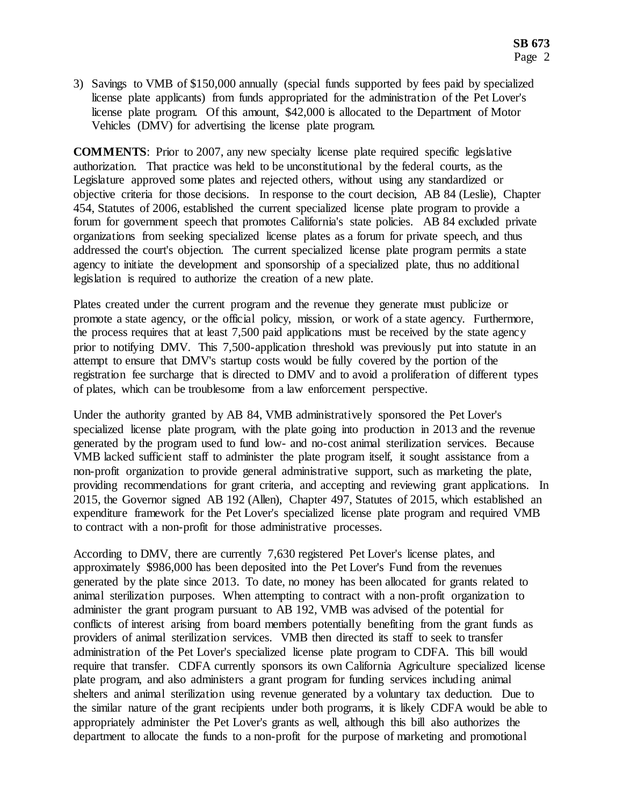3) Savings to VMB of \$150,000 annually (special funds supported by fees paid by specialized license plate applicants) from funds appropriated for the administration of the Pet Lover's license plate program. Of this amount, \$42,000 is allocated to the Department of Motor Vehicles (DMV) for advertising the license plate program.

**COMMENTS**: Prior to 2007, any new specialty license plate required specific legislative authorization. That practice was held to be unconstitutional by the federal courts, as the Legislature approved some plates and rejected others, without using any standardized or objective criteria for those decisions. In response to the court decision, AB 84 (Leslie), Chapter 454, Statutes of 2006, established the current specialized license plate program to provide a forum for government speech that promotes California's state policies. AB 84 excluded private organizations from seeking specialized license plates as a forum for private speech, and thus addressed the court's objection. The current specialized license plate program permits a state agency to initiate the development and sponsorship of a specialized plate, thus no additional legislation is required to authorize the creation of a new plate.

Plates created under the current program and the revenue they generate must publicize or promote a state agency, or the official policy, mission, or work of a state agency. Furthermore, the process requires that at least 7,500 paid applications must be received by the state agency prior to notifying DMV. This 7,500-application threshold was previously put into statute in an attempt to ensure that DMV's startup costs would be fully covered by the portion of the registration fee surcharge that is directed to DMV and to avoid a proliferation of different types of plates, which can be troublesome from a law enforcement perspective.

Under the authority granted by AB 84, VMB administratively sponsored the Pet Lover's specialized license plate program, with the plate going into production in 2013 and the revenue generated by the program used to fund low- and no-cost animal sterilization services. Because VMB lacked sufficient staff to administer the plate program itself, it sought assistance from a non-profit organization to provide general administrative support, such as marketing the plate, providing recommendations for grant criteria, and accepting and reviewing grant applications. In 2015, the Governor signed AB 192 (Allen), Chapter 497, Statutes of 2015, which established an expenditure framework for the Pet Lover's specialized license plate program and required VMB to contract with a non-profit for those administrative processes.

According to DMV, there are currently 7,630 registered Pet Lover's license plates, and approximately \$986,000 has been deposited into the Pet Lover's Fund from the revenues generated by the plate since 2013. To date, no money has been allocated for grants related to animal sterilization purposes. When attempting to contract with a non-profit organization to administer the grant program pursuant to AB 192, VMB was advised of the potential for conflicts of interest arising from board members potentially benefiting from the grant funds as providers of animal sterilization services. VMB then directed its staff to seek to transfer administration of the Pet Lover's specialized license plate program to CDFA. This bill would require that transfer. CDFA currently sponsors its own California Agriculture specialized license plate program, and also administers a grant program for funding services including animal shelters and animal sterilization using revenue generated by a voluntary tax deduction. Due to the similar nature of the grant recipients under both programs, it is likely CDFA would be able to appropriately administer the Pet Lover's grants as well, although this bill also authorizes the department to allocate the funds to a non-profit for the purpose of marketing and promotional